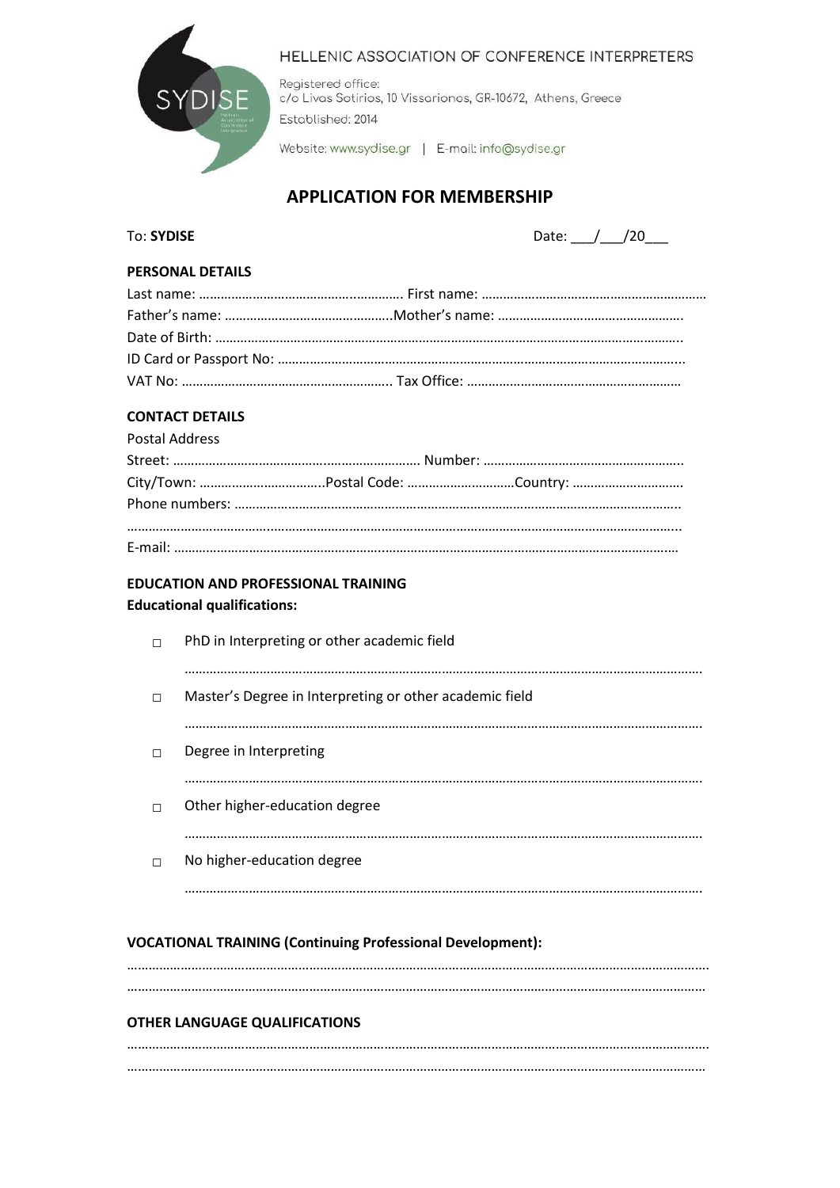

#### HELLENIC ASSOCIATION OF CONFERENCE INTERPRETERS

Registered office: c/o Livas Sotirios, 10 Vissarionos, GR-10672, Athens, Greece Established: 2014

Website: www.sydise.gr | E-mail: info@sydise.gr

# **APPLICATION FOR MEMBERSHIP**

To: **SYDISE** Date: \_\_\_/\_\_\_/20\_\_\_

#### **PERSONAL DETAILS**

## **CONTACT DETAILS**

| <b>Postal Address</b> |  |  |  |
|-----------------------|--|--|--|
|                       |  |  |  |
|                       |  |  |  |
|                       |  |  |  |
|                       |  |  |  |
|                       |  |  |  |

#### **EDUCATION AND PROFESSIONAL TRAINING**

#### **Educational qualifications:**

| П | PhD in Interpreting or other academic field             |
|---|---------------------------------------------------------|
| П | Master's Degree in Interpreting or other academic field |
|   |                                                         |
| П | Degree in Interpreting                                  |
| П | Other higher-education degree                           |
| П | No higher-education degree                              |
|   |                                                         |

#### **VOCATIONAL TRAINING (Continuing Professional Development):**

………………………………………………………………………………………………………………………………………………. ………………………………………………………………………………………………………………………………………………

#### **OTHER LANGUAGE QUALIFICATIONS**

………………………………………………………………………………………………………………………………………………. ………………………………………………………………………………………………………………………………………………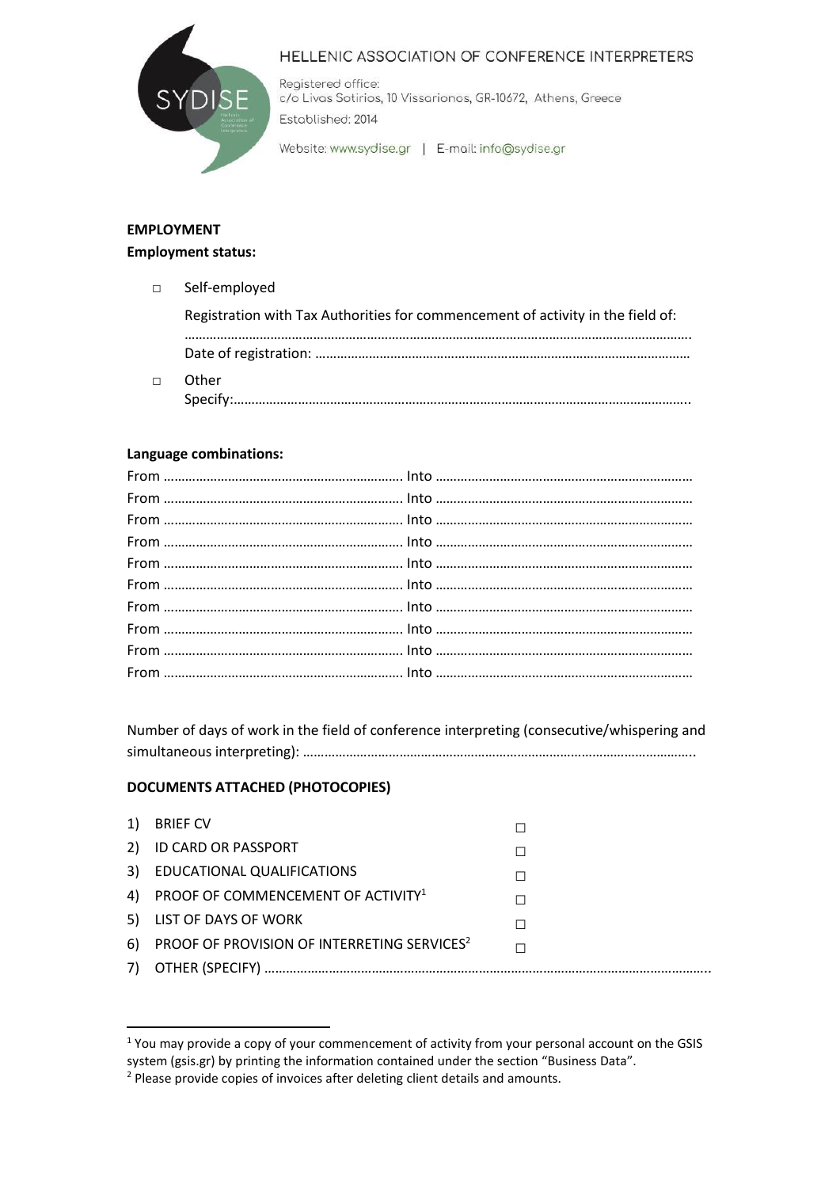

## HELLENIC ASSOCIATION OF CONFERENCE INTERPRETERS

Registered office: c/o Livas Sotirios, 10 Vissarionos, GR-10672, Athens, Greece Established: 2014

Website: www.sydise.gr | E-mail: info@sydise.gr

# **EMPLOYMENT Employment status:**

| $\Box$ | Self-employed                                                                   |
|--------|---------------------------------------------------------------------------------|
|        | Registration with Tax Authorities for commencement of activity in the field of: |
|        |                                                                                 |
|        | Other<br>Specify:                                                               |

## **Language combinations:**

Number of days of work in the field of conference interpreting (consecutive/whispering and simultaneous interpreting): ………………………………………………………………………………………………..

## **DOCUMENTS ATTACHED (PHOTOCOPIES)**

| 1) | <b>BRIEF CV</b>                                               |  |
|----|---------------------------------------------------------------|--|
|    | 2) ID CARD OR PASSPORT                                        |  |
|    | 3) EDUCATIONAL QUALIFICATIONS                                 |  |
|    | 4) PROOF OF COMMENCEMENT OF ACTIVITY <sup>1</sup>             |  |
|    | 5) LIST OF DAYS OF WORK                                       |  |
| 6) | <b>PROOF OF PROVISION OF INTERRETING SERVICES<sup>2</sup></b> |  |
|    |                                                               |  |

<sup>&</sup>lt;sup>1</sup> You may provide a copy of your commencement of activity from your personal account on the GSIS system (gsis.gr) by printing the information contained under the section "Business Data".

<sup>&</sup>lt;sup>2</sup> Please provide copies of invoices after deleting client details and amounts.